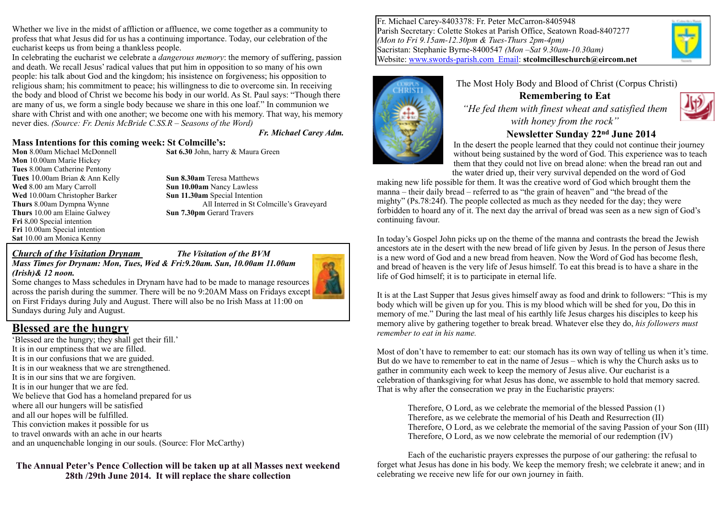Whether we live in the midst of affliction or affluence, we come together as a community to profess that what Jesus did for us has a continuing importance. Today, our celebration of the eucharist keeps us from being a thankless people.

In celebrating the eucharist we celebrate a *dangerous memory*: the memory of suffering, passion and death. We recall Jesus' radical values that put him in opposition to so many of his own people: his talk about God and the kingdom; his insistence on forgiveness; his opposition to religious sham; his commitment to peace; his willingness to die to overcome sin. In receiving the body and blood of Christ we become his body in our world. As St. Paul says: "Though there are many of us, we form a single body because we share in this one loaf." In communion we share with Christ and with one another; we become one with his memory. That way, his memory never dies. *(Source: Fr. Denis McBride C.SS.R – Seasons of the Word)*

*Fr. Michael Carey Adm.*

#### **Mass Intentions for this coming week: St Colmcille's:**

**Mon** 10.00am Marie Hickey **Tues** 8.00am Catherine Pentony **Tues** 10.00am Brian & Ann Kelly **Sun 8.30am** Teresa Matthews **Wed** 8.00 am Mary Carroll **Sun 10.00am** Nancy Lawless **Wed** 10.00am Christopher Barker **Sun 11.30am** Special Intention **Thurs** 10.00 am Elaine Galwey **Sun 7.30pm** Gerard Travers **Fri** 8**.**00 Special intention **Fri** 10.00am Special intention **Sat** 10.00 am Monica Kenny

**Mon** 8.00am Michael McDonnell **Sat 6.30** John, harry & Maura Green

**Thurs** 8.00am Dympna Wynne All Interred in St Colmcille's Graveyard

#### *Church of the Visitation Drynam The Visitation of the BVM*

*Mass Times for Drynam: Mon, Tues, Wed & Fri:9.20am. Sun, 10.00am 11.00am (Irish)& 12 noon.* 



Some changes to Mass schedules in Drynam have had to be made to manage resources across the parish during the summer. There will be no 9:20AM Mass on Fridays except on First Fridays during July and August. There will also be no Irish Mass at 11:00 on Sundays during July and August.

#### **Blessed are the hungry**

'Blessed are the hungry; they shall get their fill.' It is in our emptiness that we are filled. It is in our confusions that we are guided. It is in our weakness that we are strengthened. It is in our sins that we are forgiven. It is in our hunger that we are fed. We believe that God has a homeland prepared for us where all our hungers will be satisfied and all our hopes will be fulfilled. This conviction makes it possible for us to travel onwards with an ache in our hearts and an unquenchable longing in our souls. (Source: Flor McCarthy)

**The Annual Peter's Pence Collection will be taken up at all Masses next weekend 28th /29th June 2014. It will replace the share collection**

Fr. Michael Carey-8403378: Fr. Peter McCarron-8405948 Parish Secretary: Colette Stokes at Parish Office, Seatown Road-8407277 *(Mon to Fri 9.15am-12.30pm & Tues-Thurs 2pm-4pm)* Sacristan: Stephanie Byrne-8400547 *(Mon –Sat 9.30am-10.30am)* Website: [www.swords-parish.com Email:](http://www.swords-parish.com%20%20email) **stcolmcilleschurch@eircom.net**



## The Most Holy Body and Blood of Christ (Corpus Christi)

**Remembering to Eat**  *"He fed them with finest wheat and satisfied them with honey from the rock"* 



#### **Newsletter Sunday 22nd June 2014**

In the desert the people learned that they could not continue their journey without being sustained by the word of God. This experience was to teach them that they could not live on bread alone: when the bread ran out and the water dried up, their very survival depended on the word of God

making new life possible for them. It was the creative word of God which brought them the manna – their daily bread – referred to as "the grain of heaven" and "the bread of the mighty" (Ps.78:24f). The people collected as much as they needed for the day; they were forbidden to hoard any of it. The next day the arrival of bread was seen as a new sign of God's continuing favour.

In today's Gospel John picks up on the theme of the manna and contrasts the bread the Jewish ancestors ate in the desert with the new bread of life given by Jesus. In the person of Jesus there is a new word of God and a new bread from heaven. Now the Word of God has become flesh, and bread of heaven is the very life of Jesus himself. To eat this bread is to have a share in the life of God himself; it is to participate in eternal life.

It is at the Last Supper that Jesus gives himself away as food and drink to followers: "This is my body which will be given up for you. This is my blood which will be shed for you, Do this in memory of me." During the last meal of his earthly life Jesus charges his disciples to keep his memory alive by gathering together to break bread. Whatever else they do, *his followers must remember to eat in his name.*

Most of don't have to remember to eat: our stomach has its own way of telling us when it's time. But do we have to remember to eat in the name of Jesus – which is why the Church asks us to gather in community each week to keep the memory of Jesus alive. Our eucharist is a celebration of thanksgiving for what Jesus has done, we assemble to hold that memory sacred. That is why after the consecration we pray in the Eucharistic prayers:

Therefore, O Lord, as we celebrate the memorial of the blessed Passion (1) Therefore, as we celebrate the memorial of his Death and Resurrection (II) Therefore, O Lord, as we celebrate the memorial of the saving Passion of your Son (III) Therefore, O Lord, as we now celebrate the memorial of our redemption (IV)

Each of the eucharistic prayers expresses the purpose of our gathering: the refusal to forget what Jesus has done in his body. We keep the memory fresh; we celebrate it anew; and in celebrating we receive new life for our own journey in faith.